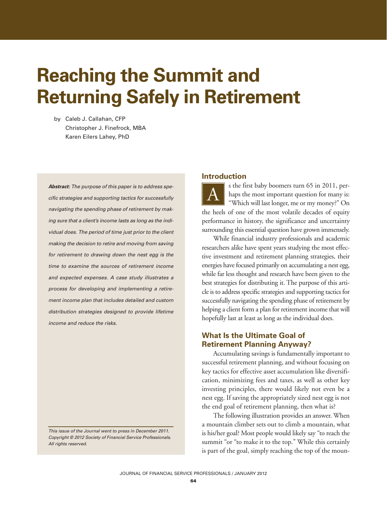# **Reaching the Summit and Returning Safely in Retirement**

by Caleb J. Callahan, CFP Christopher J. Finefrock, MBA Karen Eilers Lahey, PhD

**Abstract:** The purpose of this paper is to address specific strategies and supporting tactics for successfully navigating the spending phase of retirement by making sure that a client's income lasts as long as the individual does. The period of time just prior to the client making the decision to retire and moving from saving for retirement to drawing down the nest egg is the time to examine the sources of retirement income and expected expenses. A case study illustrates a process for developing and implementing a retirement income plan that includes detailed and custom distribution strategies designed to provide lifetime income and reduce the risks.

#### This issue of the Journal went to press in December 2011. Copyright © 2012 Society of Financial Service Professionals. All rights reserved.

## **Introduction**

s the first baby boomers turn 65 in 2011, perhaps the most important question for many is: "Which will last longer, me or my money?" On the heels of one of the most volatile decades of equity performance in history, the significance and uncertainty surrounding this essential question have grown immensely.  $\underline{A}$ 

While financial industry professionals and academic researchers alike have spent years studying the most effective investment and retirement planning strategies, their energies have focused primarily on accumulating a nest egg, while far less thought and research have been given to the best strategies for distributing it. The purpose of this article is to address specific strategies and supporting tactics for successfully navigating the spending phase of retirement by helping a client form a plan for retirement income that will hopefully last at least as long as the individual does.

# **What Is the Ultimate Goal of Retirement Planning Anyway?**

Accumulating savings is fundamentally important to successful retirement planning, and without focusing on key tactics for effective asset accumulation like diversification, minimizing fees and taxes, as well as other key investing principles, there would likely not even be a nest egg. If saving the appropriately sized nest egg is not the end goal of retirement planning, then what is?

The following illustration provides an answer. When a mountain climber sets out to climb a mountain, what is his/her goal? Most people would likely say "to reach the summit "or "to make it to the top." While this certainly is part of the goal, simply reaching the top of the moun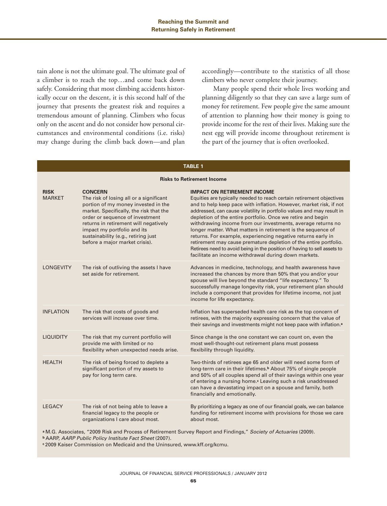tain alone is not the ultimate goal. The ultimate goal of a climber is to reach the top…and come back down safely. Considering that most climbing accidents historically occur on the descent, it is this second half of the journey that presents the greatest risk and requires a tremendous amount of planning. Climbers who focus only on the ascent and do not consider how personal circumstances and environmental conditions (i.e. risks) may change during the climb back down—and plan

accordingly—contribute to the statistics of all those climbers who never complete their journey.

Many people spend their whole lives working and planning diligently so that they can save a large sum of money for retirement. Few people give the same amount of attention to planning how their money is going to provide income for the rest of their lives. Making sure the nest egg will provide income throughout retirement is the part of the journey that is often overlooked.

| <b>Risks to Retirement Income</b> |                                                                                                                                                                                                                                                                                                                                 |                                                                                                                                                                                                                                                                                                                                                                                                                                                                                                                                                                                                                                                                                                                                  |  |  |  |  |  |  |
|-----------------------------------|---------------------------------------------------------------------------------------------------------------------------------------------------------------------------------------------------------------------------------------------------------------------------------------------------------------------------------|----------------------------------------------------------------------------------------------------------------------------------------------------------------------------------------------------------------------------------------------------------------------------------------------------------------------------------------------------------------------------------------------------------------------------------------------------------------------------------------------------------------------------------------------------------------------------------------------------------------------------------------------------------------------------------------------------------------------------------|--|--|--|--|--|--|
| <b>RISK</b><br><b>MARKFT</b>      | <b>CONCERN</b><br>The risk of losing all or a significant<br>portion of my money invested in the<br>market. Specifically, the risk that the<br>order or sequence of investment<br>returns in retirement will negatively<br>impact my portfolio and its<br>sustainability (e.g., retiring just<br>before a major market crisis). | <b>IMPACT ON RETIREMENT INCOME</b><br>Equities are typically needed to reach certain retirement objectives<br>and to help keep pace with inflation. However, market risk, if not<br>addressed, can cause volatility in portfolio values and may result in<br>depletion of the entire portfolio. Once we retire and begin<br>withdrawing income from our investments, average returns no<br>longer matter. What matters in retirement is the sequence of<br>returns. For example, experiencing negative returns early in<br>retirement may cause premature depletion of the entire portfolio.<br>Retirees need to avoid being in the position of having to sell assets to<br>facilitate an income withdrawal during down markets. |  |  |  |  |  |  |
| <b>LONGEVITY</b>                  | The risk of outliving the assets I have<br>set aside for retirement.                                                                                                                                                                                                                                                            | Advances in medicine, technology, and health awareness have<br>increased the chances by more than 50% that you and/or your<br>spouse will live beyond the standard "life expectancy." To<br>successfully manage longevity risk, your retirement plan should<br>include a component that provides for lifetime income, not just<br>income for life expectancy.                                                                                                                                                                                                                                                                                                                                                                    |  |  |  |  |  |  |
| <b>INFLATION</b>                  | The risk that costs of goods and<br>services will increase over time.                                                                                                                                                                                                                                                           | Inflation has superseded health care risk as the top concern of<br>retirees, with the majority expressing concern that the value of<br>their savings and investments might not keep pace with inflation. <sup>a</sup>                                                                                                                                                                                                                                                                                                                                                                                                                                                                                                            |  |  |  |  |  |  |
| <b>LIQUIDITY</b>                  | The risk that my current portfolio will<br>provide me with limited or no<br>flexibility when unexpected needs arise.                                                                                                                                                                                                            | Since change is the one constant we can count on, even the<br>most well-thought-out retirement plans must possess<br>flexibility through liquidity.                                                                                                                                                                                                                                                                                                                                                                                                                                                                                                                                                                              |  |  |  |  |  |  |
| <b>HEALTH</b>                     | The risk of being forced to deplete a<br>significant portion of my assets to<br>pay for long term care.                                                                                                                                                                                                                         | Two-thirds of retirees age 65 and older will need some form of<br>long-term care in their lifetimes. <sup>b</sup> About 75% of single people<br>and 50% of all couples spend all of their savings within one year<br>of entering a nursing home. <sup>c</sup> Leaving such a risk unaddressed<br>can have a devastating impact on a spouse and family, both<br>financially and emotionally.                                                                                                                                                                                                                                                                                                                                      |  |  |  |  |  |  |
| <b>LEGACY</b>                     | The risk of not being able to leave a<br>financial legacy to the people or<br>organizations I care about most.                                                                                                                                                                                                                  | By prioritizing a legacy as one of our financial goals, we can balance<br>funding for retirement income with provisions for those we care<br>about most.                                                                                                                                                                                                                                                                                                                                                                                                                                                                                                                                                                         |  |  |  |  |  |  |

**TABLE 1**

**<sup>a</sup>** M.G. Associates, "2009 Risk and Process of Retirement Survey Report and Findings," Society of Actuaries (2009).

**<sup>b</sup>** AARP, AARP Public Policy Institute Fact Sheet (2007).

**<sup>c</sup>** 2009 Kaiser Commission on Medicaid and the Uninsured, www.kff.org/kcmu.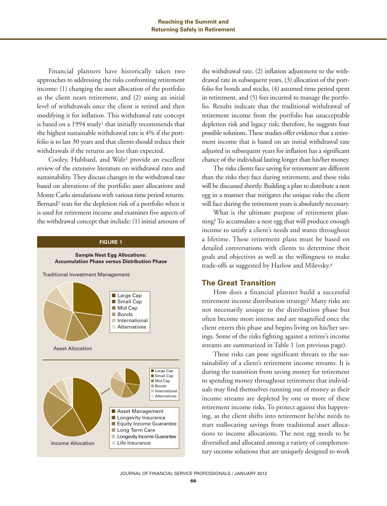Financial planners have historically taken two approaches to addressing the risks confronting retirement income: (1) changing the asset allocation of the portfolio as the client nears retirement, and (2) using an initial level of withdrawals once the client is retired and then modifying it for inflation. This withdrawal rate concept is based on a 1994 study<sup>1</sup> that initially recommends that the highest sustainable withdrawal rate is 4% if the portfolio is to last 30 years and that clients should reduce their withdrawals if the returns are less than expected.

Cooley, Hubbard, and Walz2 provide an excellent review of the extensive literature on withdrawal rates and sustainability. They discuss changes in the withdrawal rate based on alterations of the portfolio asset allocations and Monte Carlo simulations with various time period returns. Bernard<sup>3</sup> tests for the depletion risk of a portfolio when it is used for retirement income and examines five aspects of the withdrawal concept that include: (1) initial amount of

#### **FIGURE 1**



the withdrawal rate, (2) inflation adjustment to the withdrawal rate in subsequent years, (3) allocation of the portfolio for bonds and stocks, (4) assumed time period spent in retirement, and (5) fees incurred to manage the portfolio. Results indicate that the traditional withdrawal of retirement income from the portfolio has unacceptable depletion risk and legacy risk; therefore, he suggests four possible solutions. These studies offer evidence that a retirement income that is based on an initial withdrawal rate adjusted in subsequent years for inflation has a significant chance of the individual lasting longer than his/her money.

The risks clients face saving for retirement are different than the risks they face during retirement, and these risks will be discussed shortly. Building a plan to distribute a nest egg in a manner that mitigates the unique risks the client will face during the retirement years is absolutely necessary.

What is the ultimate purpose of retirement planning? To accumulate a nest egg that will produce enough income to satisfy a client's needs and wants throughout a lifetime. These retirement plans must be based on detailed conversations with clients to determine their goals and objectives as well as the willingness to make trade-offs as suggested by Harlow and Milevsky.4

## **The Great Transition**

How does a financial planner build a successful retirement income distribution strategy? Many risks are not necessarily unique to the distribution phase but often become more intense and are magnified once the client enters this phase and begins living on his/her savings. Some of the risks fighting against a retiree's income streams are summarized in Table 1 (on previous page).

These risks can pose significant threats to the sustainability of a client's retirement income streams. It is during the transition from saving money for retirement to spending money throughout retirement that individuals may find themselves running out of money as their income streams are depleted by one or more of these retirement income risks. To protect against this happening, as the client shifts into retirement he/she needs to start reallocating savings from traditional asset allocations to income allocations. The nest egg needs to be diversified and allocated among a variety of complementary income solutions that are uniquely designed to work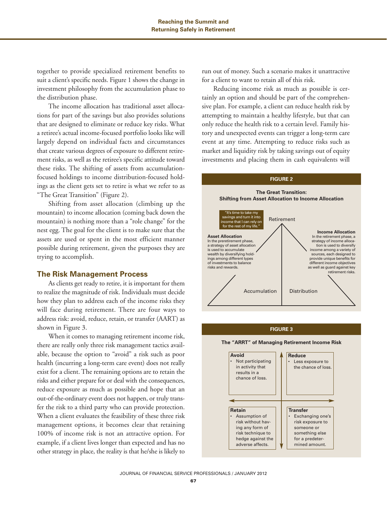together to provide specialized retirement benefits to suit a client's specific needs. Figure 1 shows the change in investment philosophy from the accumulation phase to the distribution phase.

The income allocation has traditional asset allocations for part of the savings but also provides solutions that are designed to eliminate or reduce key risks. What a retiree's actual income-focused portfolio looks like will largely depend on individual facts and circumstances that create various degrees of exposure to different retirement risks, as well as the retiree's specific attitude toward these risks. The shifting of assets from accumulationfocused holdings to income distribution-focused holdings as the client gets set to retire is what we refer to as "The Great Transition" (Figure 2).

Shifting from asset allocation (climbing up the mountain) to income allocation (coming back down the mountain) is nothing more than a "role change" for the nest egg. The goal for the client is to make sure that the assets are used or spent in the most efficient manner possible during retirement, given the purposes they are trying to accomplish.

### **The Risk Management Process**

As clients get ready to retire, it is important for them to realize the magnitude of risk. Individuals must decide how they plan to address each of the income risks they will face during retirement. There are four ways to address risk: avoid, reduce, retain, or transfer (AART) as shown in Figure 3.

When it comes to managing retirement income risk, there are really only three risk management tactics available, because the option to "avoid" a risk such as poor health (incurring a long-term care event) does not really exist for a client. The remaining options are to retain the risks and either prepare for or deal with the consequences, reduce exposure as much as possible and hope that an out-of-the-ordinary event does not happen, or truly transfer the risk to a third party who can provide protection. When a client evaluates the feasibility of these three risk management options, it becomes clear that retaining 100% of income risk is not an attractive option. For example, if a client lives longer than expected and has no other strategy in place, the reality is that he/she is likely to

run out of money. Such a scenario makes it unattractive for a client to want to retain all of this risk.

Reducing income risk as much as possible is certainly an option and should be part of the comprehensive plan. For example, a client can reduce health risk by attempting to maintain a healthy lifestyle, but that can only reduce the health risk to a certain level. Family history and unexpected events can trigger a long-term care event at any time. Attempting to reduce risks such as market and liquidity risk by taking savings out of equity investments and placing them in cash equivalents will



#### **FIGURE 3**

**The "ARRT" of Managing Retirement Income Risk**

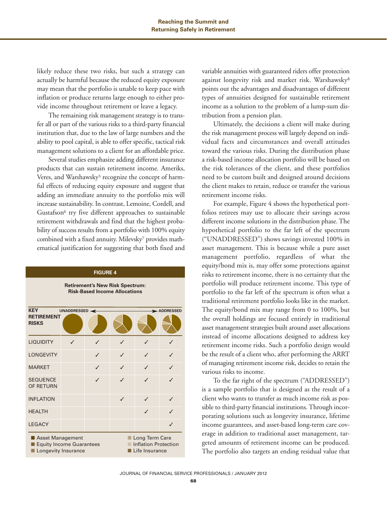likely reduce these two risks, but such a strategy can actually be harmful because the reduced equity exposure may mean that the portfolio is unable to keep pace with inflation or produce returns large enough to either provide income throughout retirement or leave a legacy.

The remaining risk management strategy is to transfer all or part of the various risks to a third-party financial institution that, due to the law of large numbers and the ability to pool capital, is able to offer specific, tactical risk management solutions to a client for an affordable price.

Several studies emphasize adding different insurance products that can sustain retirement income. Ameriks, Veres, and Warshawsky<sup>5</sup> recognize the concept of harmful effects of reducing equity exposure and suggest that adding an immediate annuity to the portfolio mix will increase sustainability. In contrast, Lemoine, Cordell, and Gustafson<sup>6</sup> try five different approaches to sustainable retirement withdrawals and find that the highest probability of success results from a portfolio with 100% equity combined with a fixed annuity. Milevsky7 provides mathematical justification for suggesting that both fixed and

# **FIGURE 4 Retirement's New Risk Spectrum: Risk-Based Income Allocations KEY** UNADDRESSED ADDRESSED **RETIREMENT RISKS** LIQUIDITY **V** LONGEVITY MARKET **v** √ √ SEQUENCE **√** √ OF RETURN INFLATION  $\checkmark$  √ √ √ **HEALTH LEGACY** ■ Asset Management ■ Long Term Care ■ Equity Income Guarantees ■ Inflation Protection ■ Longevity Insurance ■ Life Insurance

variable annuities with guaranteed riders offer protection against longevity risk and market risk. Warshawsky<sup>8</sup> points out the advantages and disadvantages of different types of annuities designed for sustainable retirement income as a solution to the problem of a lump-sum distribution from a pension plan.

Ultimately, the decisions a client will make during the risk management process will largely depend on individual facts and circumstances and overall attitudes toward the various risks. During the distribution phase a risk-based income allocation portfolio will be based on the risk tolerances of the client, and these portfolios need to be custom built and designed around decisions the client makes to retain, reduce or transfer the various retirement income risks.

For example, Figure 4 shows the hypothetical portfolios retirees may use to allocate their savings across different income solutions in the distribution phase. The hypothetical portfolio to the far left of the spectrum ("UNADDRESSED") shows savings invested 100% in asset management. This is because while a pure asset management portfolio, regardless of what the equity/bond mix is, may offer some protections against risks to retirement income, there is no certainty that the portfolio will produce retirement income. This type of portfolio to the far left of the spectrum is often what a traditional retirement portfolio looks like in the market. The equity/bond mix may range from 0 to 100%, but the overall holdings are focused entirely in traditional asset management strategies built around asset allocations instead of income allocations designed to address key retirement income risks. Such a portfolio design would be the result of a client who, after performing the ARRT of managing retirement income risk, decides to retain the various risks to income.

To the far right of the spectrum ("ADDRESSED") is a sample portfolio that is designed as the result of a client who wants to transfer as much income risk as possible to third-party financial institutions. Through incorporating solutions such as longevity insurance, lifetime income guarantees, and asset-based long-term care coverage in addition to traditional asset management, targeted amounts of retirement income can be produced. The portfolio also targets an ending residual value that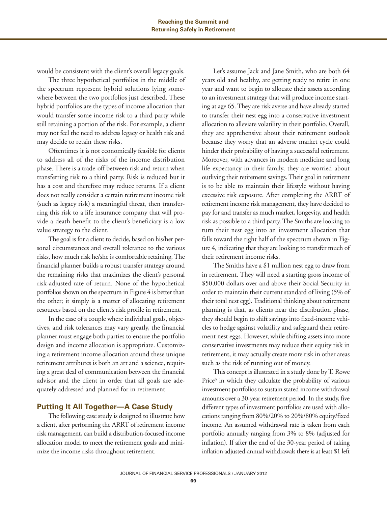would be consistent with the client's overall legacy goals.

The three hypothetical portfolios in the middle of the spectrum represent hybrid solutions lying somewhere between the two portfolios just described. These hybrid portfolios are the types of income allocation that would transfer some income risk to a third party while still retaining a portion of the risk. For example, a client may not feel the need to address legacy or health risk and may decide to retain these risks.

Oftentimes it is not economically feasible for clients to address all of the risks of the income distribution phase. There is a trade-off between risk and return when transferring risk to a third party. Risk is reduced but it has a cost and therefore may reduce returns. If a client does not really consider a certain retirement income risk (such as legacy risk) a meaningful threat, then transferring this risk to a life insurance company that will provide a death benefit to the client's beneficiary is a low value strategy to the client.

The goal is for a client to decide, based on his/her personal circumstances and overall tolerance to the various risks, how much risk he/she is comfortable retaining. The financial planner builds a robust transfer strategy around the remaining risks that maximizes the client's personal risk-adjusted rate of return. None of the hypothetical portfolios shown on the spectrum in Figure 4 is better than the other; it simply is a matter of allocating retirement resources based on the client's risk profile in retirement.

In the case of a couple where individual goals, objectives, and risk tolerances may vary greatly, the financial planner must engage both parties to ensure the portfolio design and income allocation is appropriate. Customizing a retirement income allocation around these unique retirement attributes is both an art and a science, requiring a great deal of communication between the financial advisor and the client in order that all goals are adequately addressed and planned for in retirement.

# **Putting It All Together—A Case Study**

The following case study is designed to illustrate how a client, after performing the ARRT of retirement income risk management, can build a distribution-focused income allocation model to meet the retirement goals and minimize the income risks throughout retirement.

Let's assume Jack and Jane Smith, who are both 64 years old and healthy, are getting ready to retire in one year and want to begin to allocate their assets according to an investment strategy that will produce income starting at age 65. They are risk averse and have already started to transfer their nest egg into a conservative investment allocation to alleviate volatility in their portfolio. Overall, they are apprehensive about their retirement outlook because they worry that an adverse market cycle could hinder their probability of having a successful retirement. Moreover, with advances in modern medicine and long life expectancy in their family, they are worried about outliving their retirement savings. Their goal in retirement is to be able to maintain their lifestyle without having excessive risk exposure. After completing the ARRT of retirement income risk management, they have decided to pay for and transfer as much market, longevity, and health risk as possible to a third party. The Smiths are looking to turn their nest egg into an investment allocation that falls toward the right half of the spectrum shown in Figure 4, indicating that they are looking to transfer much of their retirement income risks.

The Smiths have a \$1 million nest egg to draw from in retirement. They will need a starting gross income of \$50,000 dollars over and above their Social Security in order to maintain their current standard of living (5% of their total nest egg). Traditional thinking about retirement planning is that, as clients near the distribution phase, they should begin to shift savings into fixed-income vehicles to hedge against volatility and safeguard their retirement nest eggs. However, while shifting assets into more conservative investments may reduce their equity risk in retirement, it may actually create more risk in other areas such as the risk of running out of money.

This concept is illustrated in a study done by T. Rowe Price9 in which they calculate the probability of various investment portfolios to sustain stated income withdrawal amounts over a 30-year retirement period. In the study, five different types of investment portfolios are used with allocations ranging from 80%/20% to 20%/80% equity/fixed income. An assumed withdrawal rate is taken from each portfolio annually ranging from 3% to 8% (adjusted for inflation). If after the end of the 30-year period of taking inflation adjusted-annual withdrawals there is at least \$1 left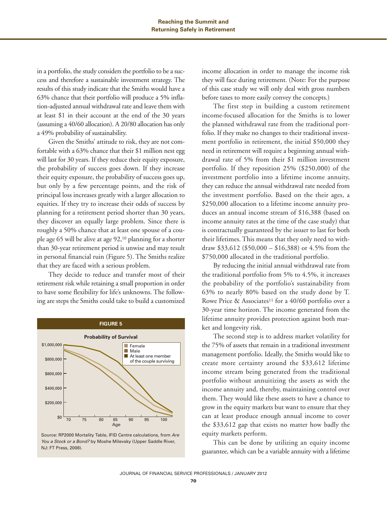in a portfolio, the study considers the portfolio to be a success and therefore a sustainable investment strategy. The results of this study indicate that the Smiths would have a 63% chance that their portfolio will produce a 5% inflation-adjusted annual withdrawal rate and leave them with at least \$1 in their account at the end of the 30 years (assuming a 40/60 allocation). A 20/80 allocation has only a 49% probability of sustainability.

Given the Smiths' attitude to risk, they are not comfortable with a 63% chance that their \$1 million nest egg will last for 30 years. If they reduce their equity exposure, the probability of success goes down. If they increase their equity exposure, the probability of success goes up, but only by a few percentage points, and the risk of principal loss increases greatly with a larger allocation to equities. If they try to increase their odds of success by planning for a retirement period shorter than 30 years, they discover an equally large problem. Since there is roughly a 50% chance that at least one spouse of a couple age 65 will be alive at age 92,10 planning for a shorter than 30-year retirement period is unwise and may result in personal financial ruin (Figure 5). The Smiths realize that they are faced with a serious problem.

They decide to reduce and transfer most of their retirement risk while retaining a small proportion in order to have some flexibility for life's unknowns. The following are steps the Smiths could take to build a customized





income allocation in order to manage the income risk they will face during retirement. (Note: For the purpose of this case study we will only deal with gross numbers before taxes to more easily convey the concepts.)

The first step in building a custom retirement income-focused allocation for the Smiths is to lower the planned withdrawal rate from the traditional portfolio. If they make no changes to their traditional investment portfolio in retirement, the initial \$50,000 they need in retirement will require a beginning annual withdrawal rate of 5% from their \$1 million investment portfolio. If they reposition 25% (\$250,000) of the investment portfolio into a lifetime income annuity, they can reduce the annual withdrawal rate needed from the investment portfolio. Based on the their ages, a \$250,000 allocation to a lifetime income annuity produces an annual income stream of \$16,388 (based on income annuity rates at the time of the case study) that is contractually guaranteed by the issuer to last for both their lifetimes. This means that they only need to withdraw \$33,612 (\$50,000 – \$16,388) or 4.5% from the \$750,000 allocated in the traditional portfolio.

By reducing the initial annual withdrawal rate from the traditional portfolio from 5% to 4.5%, it increases the probability of the portfolio's sustainability from 63% to nearly 80% based on the study done by T. Rowe Price & Associates<sup>11</sup> for a  $40/60$  portfolio over a 30-year time horizon. The income generated from the lifetime annuity provides protection against both market and longevity risk.

The second step is to address market volatility for the 75% of assets that remain in a traditional investment management portfolio. Ideally, the Smiths would like to create more certainty around the \$33,612 lifetime income stream being generated from the traditional portfolio without annuitizing the assets as with the income annuity and, thereby, maintaining control over them. They would like these assets to have a chance to grow in the equity markets but want to ensure that they can at least produce enough annual income to cover the \$33,612 gap that exists no matter how badly the equity markets perform.

This can be done by utilizing an equity income guarantee, which can be a variable annuity with a lifetime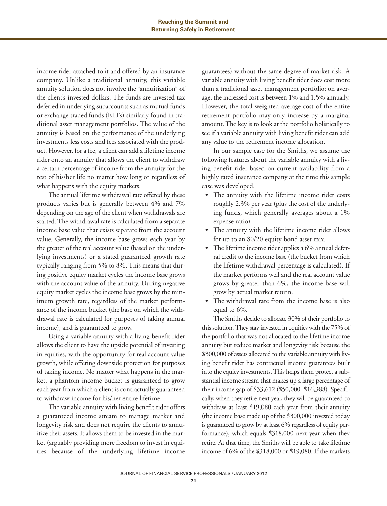income rider attached to it and offered by an insurance company. Unlike a traditional annuity, this variable annuity solution does not involve the "annuitization" of the client's invested dollars. The funds are invested tax deferred in underlying subaccounts such as mutual funds or exchange traded funds (ETFs) similarly found in traditional asset management portfolios. The value of the annuity is based on the performance of the underlying investments less costs and fees associated with the product. However, for a fee, a client can add a lifetime income rider onto an annuity that allows the client to withdraw a certain percentage of income from the annuity for the rest of his/her life no matter how long or regardless of what happens with the equity markets.

The annual lifetime withdrawal rate offered by these products varies but is generally between 4% and 7% depending on the age of the client when withdrawals are started. The withdrawal rate is calculated from a separate income base value that exists separate from the account value. Generally, the income base grows each year by the greater of the real account value (based on the underlying investments) or a stated guaranteed growth rate typically ranging from 5% to 8%. This means that during positive equity market cycles the income base grows with the account value of the annuity. During negative equity market cycles the income base grows by the minimum growth rate, regardless of the market performance of the income bucket (the base on which the withdrawal rate is calculated for purposes of taking annual income), and is guaranteed to grow.

Using a variable annuity with a living benefit rider allows the client to have the upside potential of investing in equities, with the opportunity for real account value growth, while offering downside protection for purposes of taking income. No matter what happens in the market, a phantom income bucket is guaranteed to grow each year from which a client is contractually guaranteed to withdraw income for his/her entire lifetime.

The variable annuity with living benefit rider offers a guaranteed income stream to manage market and longevity risk and does not require the clients to annuitize their assets. It allows them to be invested in the market (arguably providing more freedom to invest in equities because of the underlying lifetime income guarantees) without the same degree of market risk. A variable annuity with living benefit rider does cost more than a traditional asset management portfolio; on average, the increased cost is between 1% and 1.5% annually. However, the total weighted average cost of the entire retirement portfolio may only increase by a marginal amount. The key is to look at the portfolio holistically to see if a variable annuity with living benefit rider can add any value to the retirement income allocation.

In our sample case for the Smiths, we assume the following features about the variable annuity with a living benefit rider based on current availability from a highly rated insurance company at the time this sample case was developed.

- The annuity with the lifetime income rider costs roughly 2.3% per year (plus the cost of the underlying funds, which generally averages about a 1% expense ratio).
- The annuity with the lifetime income rider allows for up to an 80/20 equity-bond asset mix.
- The lifetime income rider applies a 6% annual deferral credit to the income base (the bucket from which the lifetime withdrawal percentage is calculated). If the market performs well and the real account value grows by greater than 6%, the income base will grow by actual market return.
- The withdrawal rate from the income base is also equal to 6%.

The Smiths decide to allocate 30% of their portfolio to this solution. They stay invested in equities with the 75% of the portfolio that was not allocated to the lifetime income annuity but reduce market and longevity risk because the \$300,000 of assets allocated to the variable annuity with living benefit rider has contractual income guarantees built into the equity investments. This helps them protect a substantial income stream that makes up a large percentage of their income gap of \$33,612 (\$50,000–\$16,388). Specifically, when they retire next year, they will be guaranteed to withdraw at least \$19,080 each year from their annuity (the income base made up of the \$300,000 invested today is guaranteed to grow by at least 6% regardless of equity performance), which equals \$318,000 next year when they retire. At that time, the Smiths will be able to take lifetime income of 6% of the \$318,000 or \$19,080. If the markets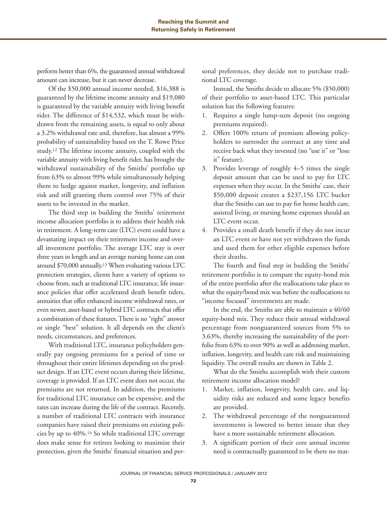perform better than 6%, the guaranteed annual withdrawal amount can increase, but it can never decrease.

Of the \$50,000 annual income needed, \$16,388 is guaranteed by the lifetime income annuity and \$19,080 is guaranteed by the variable annuity with living benefit rider. The difference of \$14,532, which must be withdrawn from the remaining assets, is equal to only about a 3.2% withdrawal rate and, therefore, has almost a 99% probability of sustainability based on the T. Rowe Price study.12 The lifetime income annuity, coupled with the variable annuity with living benefit rider, has brought the withdrawal sustainability of the Smiths' portfolio up from 63% to almost 99% while simultaneously helping them to hedge against market, longevity, and inflation risk and still granting them control over 75% of their assets to be invested in the market.

The third step in building the Smiths' retirement income allocation portfolio is to address their health risk in retirement. A long-term care (LTC) event could have a devastating impact on their retirement income and overall investment portfolio. The average LTC stay is over three years in length and an average nursing home can cost around \$70,000 annually.13 When evaluating various LTC protection strategies, clients have a variety of options to choose from, such as traditional LTC insurance, life insurance policies that offer accelerated death benefit riders, annuities that offer enhanced income withdrawal rates, or even newer, asset-based or hybrid LTC contracts that offer a combination of these features. There is no "right" answer or single "best" solution. It all depends on the client's needs, circumstances, and preferences.

With traditional LTC, insurance policyholders generally pay ongoing premiums for a period of time or throughout their entire lifetimes depending on the product design. If an LTC event occurs during their lifetime, coverage is provided. If an LTC event does not occur, the premiums are not returned. In addition, the premiums for traditional LTC insurance can be expensive, and the rates can increase during the life of the contract. Recently, a number of traditional LTC contracts with insurance companies have raised their premiums on existing policies by up to 40%.14 So while traditional LTC coverage does make sense for retirees looking to maximize their protection, given the Smiths' financial situation and personal preferences, they decide not to purchase traditional LTC coverage.

Instead, the Smiths decide to allocate 5% (\$50,000) of their portfolio to asset-based LTC. This particular solution has the following features:

- 1. Requires a single lump-sum deposit (no ongoing premiums required).
- 2. Offers 100% return of premium allowing policyholders to surrender the contract at any time and receive back what they invested (no "use it" or "lose it" feature).
- 3. Provides leverage of roughly 4–5 times the single deposit amount that can be used to pay for LTC expenses when they occur. In the Smiths' case, their \$50,000 deposit creates a \$237,156 LTC bucket that the Smiths can use to pay for home health care, assisted living, or nursing home expenses should an LTC event occur.
- 4. Provides a small death benefit if they do not incur an LTC event or have not yet withdrawn the funds and used them for other eligible expenses before their deaths.

The fourth and final step in building the Smiths' retirement portfolio is to compare the equity-bond mix of the entire portfolio after the reallocations take place to what the equity/bond mix was before the reallocations to "income focused" investments are made.

In the end, the Smiths are able to maintain a 40/60 equity-bond mix. They reduce their annual withdrawal percentage from nonguaranteed sources from 5% to 3.63%, thereby increasing the sustainability of the portfolio from 63% to over 90% as well as addressing market, inflation, longevity, and health care risk and maintaining liquidity. The overall results are shown in Table 2.

What do the Smiths accomplish with their custom retirement income allocation model?

- 1. Market, inflation, longevity, health care, and liquidity risks are reduced and some legacy benefits are provided.
- 2. The withdrawal percentage of the nonguaranteed investments is lowered to better insure that they have a more sustainable retirement allocation.
- 3. A significant portion of their core annual income need is contractually guaranteed to be there no mat-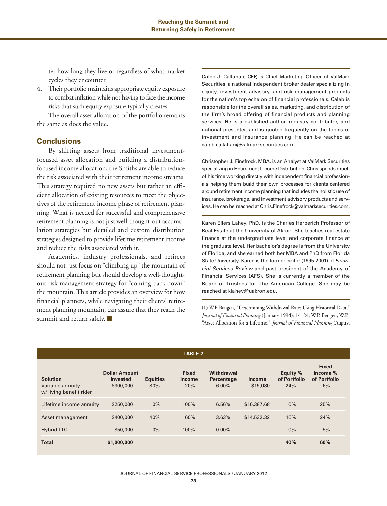ter how long they live or regardless of what market cycles they encounter.

4. Their portfolio maintains appropriate equity exposure to combat inflation while not having to face the income risks that such equity exposure typically creates.

The overall asset allocation of the portfolio remains the same as does the value.

# **Conclusions**

By shifting assets from traditional investmentfocused asset allocation and building a distributionfocused income allocation, the Smiths are able to reduce the risk associated with their retirement income streams. This strategy required no new assets but rather an efficient allocation of existing resources to meet the objectives of the retirement income phase of retirement planning. What is needed for successful and comprehensive retirement planning is not just well-thought-out accumulation strategies but detailed and custom distribution strategies designed to provide lifetime retirement income and reduce the risks associated with it.

Academics, industry professionals, and retirees should not just focus on "climbing up" the mountain of retirement planning but should develop a well-thoughtout risk management strategy for "coming back down" the mountain. This article provides an overview for how financial planners, while navigating their clients' retirement planning mountain, can assure that they reach the summit and return safely. ■

Caleb J. Callahan, CFP, is Chief Marketing Officer of ValMark Securities, a national independent broker dealer specializing in equity, investment advisory, and risk management products for the nation's top echelon of financial professionals. Caleb is responsible for the overall sales, marketing, and distribution of the firm's broad offering of financial products and planning services. He is a published author, industry contributor, and national presenter, and is quoted frequently on the topics of investment and insurance planning. He can be reached at caleb.callahan@valmarksecurities.com.

Christopher J. Finefrock, MBA, is an Analyst at ValMark Securities specializing in Retirement Income Distribution. Chris spends much of his time working directly with independent financial professionals helping them build their own processes for clients centered around retirement income planning that includes the holistic use of insurance, brokerage, and investment advisory products and services. He can be reached at Chris.Finefrock@valmarksecurities.com.

Karen Eilers Lahey, PhD, is the Charles Herberich Professor of Real Estate at the University of Akron. She teaches real estate finance at the undergraduate level and corporate finance at the graduate level. Her bachelor's degree is from the University of Florida, and she earned both her MBA and PhD from Florida State University. Karen is the former editor (1995-2001) of Financial Services Review and past president of the Academy of Financial Services (AFS). She is currently a member of the Board of Trustees for The American College. She may be reached at klahey@uakron.edu.

(1) W.P. Bengen, "Determining Withdrawal Rates Using Historical Data," *Journal of Financial Planning* (January 1994): 14–24; W.P. Bengen, W.P., "Asset Allocation for a Lifetime," *Journal of Financial Planning* (August

| <b>TABLE 2</b>                                                |                                                      |                        |                                      |                                   |                           |                                 |                                                |  |  |  |
|---------------------------------------------------------------|------------------------------------------------------|------------------------|--------------------------------------|-----------------------------------|---------------------------|---------------------------------|------------------------------------------------|--|--|--|
| <b>Solution</b><br>Variable annuity<br>w/living benefit rider | <b>Dollar Amount</b><br><b>Invested</b><br>\$300,000 | <b>Equities</b><br>80% | <b>Fixed</b><br><b>Income</b><br>20% | Withdrawal<br>Percentage<br>6.00% | <b>Income</b><br>\$19,080 | Equity %<br>of Portfolio<br>24% | <b>Fixed</b><br>Income %<br>of Portfolio<br>6% |  |  |  |
| Lifetime income annuity                                       | \$250,000                                            | $0\%$                  | 100%                                 | 6.56%                             | \$16,387.68               | $0\%$                           | 25%                                            |  |  |  |
| Asset management                                              | \$400,000                                            | 40%                    | 60%                                  | 3.63%                             | \$14,532.32               | 16%                             | 24%                                            |  |  |  |
| <b>Hybrid LTC</b>                                             | \$50,000                                             | $0\%$                  | 100%                                 | $0.00\%$                          |                           | 0%                              | 5%                                             |  |  |  |
| <b>Total</b>                                                  | \$1,000,000                                          |                        |                                      |                                   |                           | 40%                             | 60%                                            |  |  |  |

#### JOURNAL OF FINANCIAL SERVICE PROFESSIONALS / JANUARY 2012